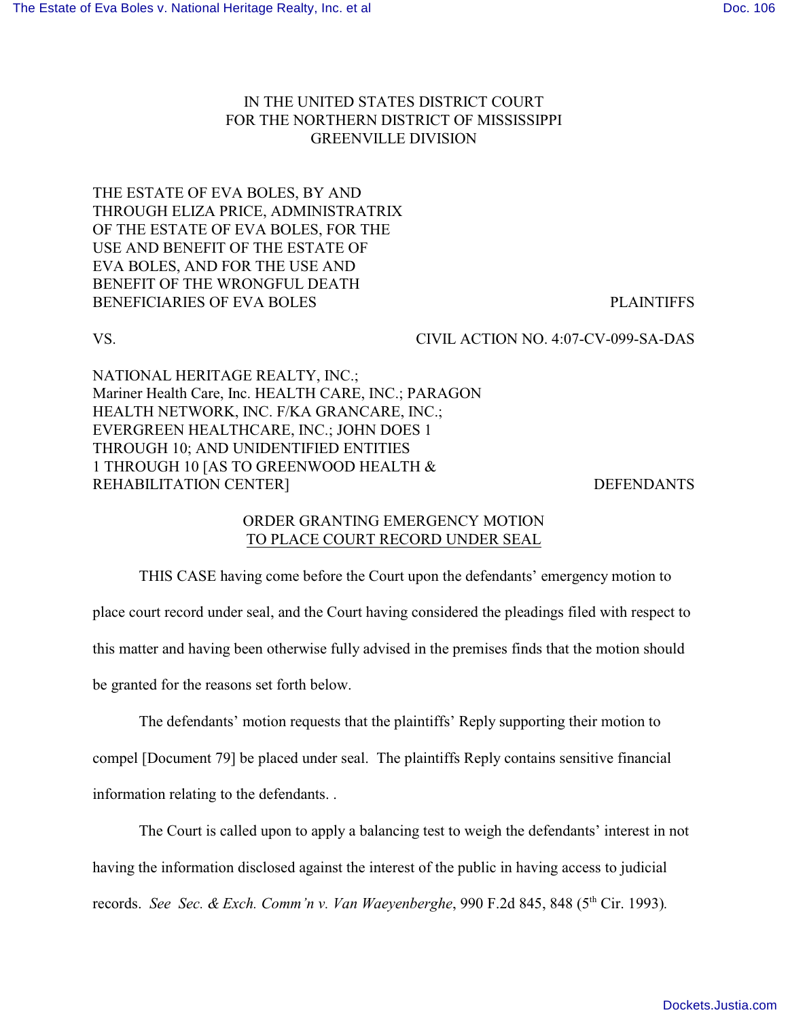## IN THE UNITED STATES DISTRICT COURT FOR THE NORTHERN DISTRICT OF MISSISSIPPI GREENVILLE DIVISION

THE ESTATE OF EVA BOLES, BY AND THROUGH ELIZA PRICE, ADMINISTRATRIX OF THE ESTATE OF EVA BOLES, FOR THE USE AND BENEFIT OF THE ESTATE OF EVA BOLES, AND FOR THE USE AND BENEFIT OF THE WRONGFUL DEATH BENEFICIARIES OF EVA BOLES PLAINTIFFS

VS. CIVIL ACTION NO. 4:07-CV-099-SA-DAS

NATIONAL HERITAGE REALTY, INC.; Mariner Health Care, Inc. HEALTH CARE, INC.; PARAGON HEALTH NETWORK, INC. F/KA GRANCARE, INC.; EVERGREEN HEALTHCARE, INC.; JOHN DOES 1 THROUGH 10; AND UNIDENTIFIED ENTITIES 1 THROUGH 10 [AS TO GREENWOOD HEALTH & REHABILITATION CENTER] SERVICES AND REFENDANTS

## ORDER GRANTING EMERGENCY MOTION TO PLACE COURT RECORD UNDER SEAL

THIS CASE having come before the Court upon the defendants' emergency motion to place court record under seal, and the Court having considered the pleadings filed with respect to this matter and having been otherwise fully advised in the premises finds that the motion should be granted for the reasons set forth below.

The defendants' motion requests that the plaintiffs' Reply supporting their motion to compel [Document 79] be placed under seal. The plaintiffs Reply contains sensitive financial information relating to the defendants. .

The Court is called upon to apply a balancing test to weigh the defendants' interest in not having the information disclosed against the interest of the public in having access to judicial records. *See Sec. & Exch. Comm'n v. Van Waeyenberghe*, 990 F.2d 845, 848 (5<sup>th</sup> Cir. 1993).